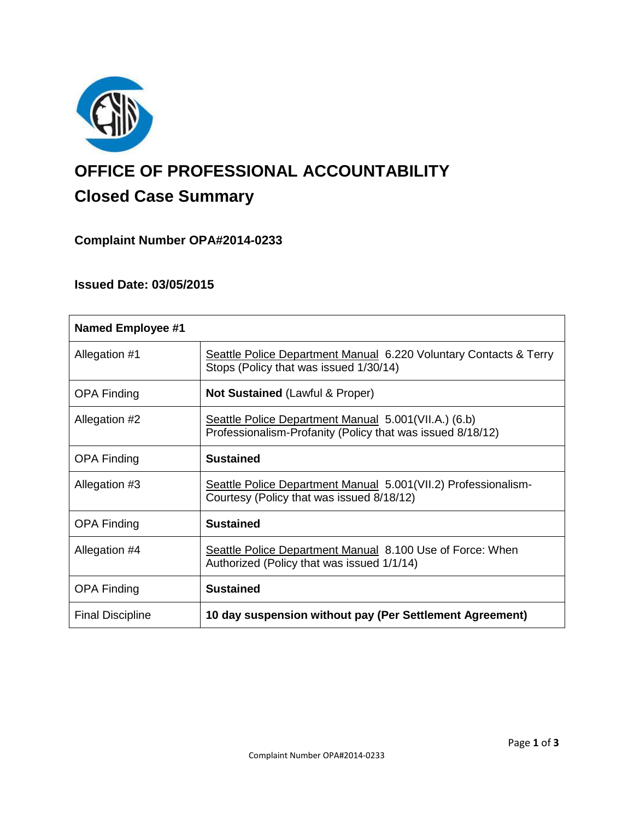

# **OFFICE OF PROFESSIONAL ACCOUNTABILITY Closed Case Summary**

# **Complaint Number OPA#2014-0233**

## **Issued Date: 03/05/2015**

| <b>Named Employee #1</b> |                                                                                                                    |
|--------------------------|--------------------------------------------------------------------------------------------------------------------|
| Allegation #1            | Seattle Police Department Manual 6.220 Voluntary Contacts & Terry<br>Stops (Policy that was issued 1/30/14)        |
| <b>OPA Finding</b>       | <b>Not Sustained (Lawful &amp; Proper)</b>                                                                         |
| Allegation #2            | Seattle Police Department Manual 5.001(VII.A.) (6.b)<br>Professionalism-Profanity (Policy that was issued 8/18/12) |
| <b>OPA Finding</b>       | <b>Sustained</b>                                                                                                   |
| Allegation #3            | Seattle Police Department Manual 5.001(VII.2) Professionalism-<br>Courtesy (Policy that was issued 8/18/12)        |
| <b>OPA Finding</b>       | <b>Sustained</b>                                                                                                   |
| Allegation #4            | Seattle Police Department Manual 8.100 Use of Force: When<br>Authorized (Policy that was issued 1/1/14)            |
| <b>OPA Finding</b>       | <b>Sustained</b>                                                                                                   |
| <b>Final Discipline</b>  | 10 day suspension without pay (Per Settlement Agreement)                                                           |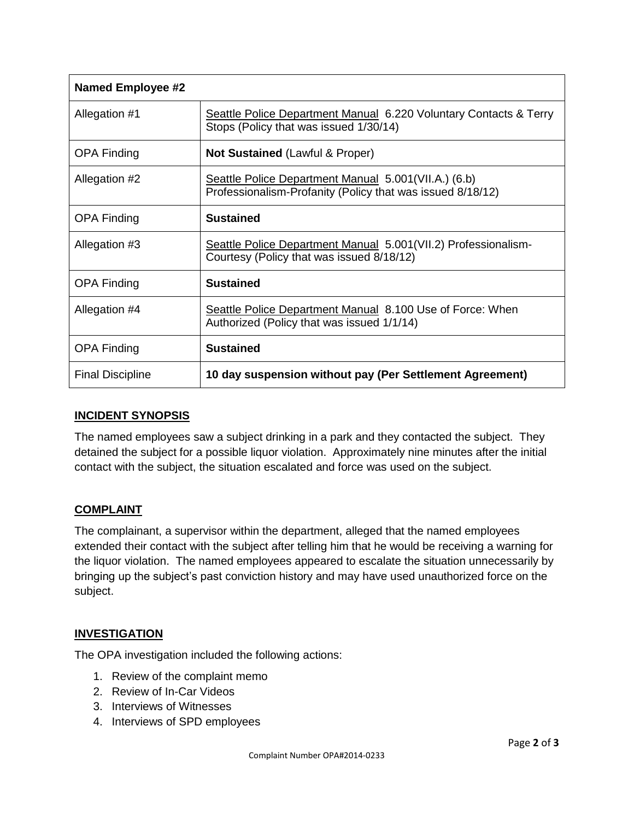| <b>Named Employee #2</b> |                                                                                                                    |
|--------------------------|--------------------------------------------------------------------------------------------------------------------|
| Allegation #1            | Seattle Police Department Manual 6.220 Voluntary Contacts & Terry<br>Stops (Policy that was issued 1/30/14)        |
| <b>OPA Finding</b>       | <b>Not Sustained (Lawful &amp; Proper)</b>                                                                         |
| Allegation #2            | Seattle Police Department Manual 5.001(VII.A.) (6.b)<br>Professionalism-Profanity (Policy that was issued 8/18/12) |
| <b>OPA Finding</b>       | <b>Sustained</b>                                                                                                   |
| Allegation #3            | Seattle Police Department Manual 5.001(VII.2) Professionalism-<br>Courtesy (Policy that was issued 8/18/12)        |
| <b>OPA Finding</b>       | <b>Sustained</b>                                                                                                   |
| Allegation #4            | Seattle Police Department Manual 8.100 Use of Force: When<br>Authorized (Policy that was issued 1/1/14)            |
| <b>OPA Finding</b>       | <b>Sustained</b>                                                                                                   |
| <b>Final Discipline</b>  | 10 day suspension without pay (Per Settlement Agreement)                                                           |

## **INCIDENT SYNOPSIS**

The named employees saw a subject drinking in a park and they contacted the subject. They detained the subject for a possible liquor violation. Approximately nine minutes after the initial contact with the subject, the situation escalated and force was used on the subject.

## **COMPLAINT**

The complainant, a supervisor within the department, alleged that the named employees extended their contact with the subject after telling him that he would be receiving a warning for the liquor violation. The named employees appeared to escalate the situation unnecessarily by bringing up the subject's past conviction history and may have used unauthorized force on the subject.

## **INVESTIGATION**

The OPA investigation included the following actions:

- 1. Review of the complaint memo
- 2. Review of In-Car Videos
- 3. Interviews of Witnesses
- 4. Interviews of SPD employees